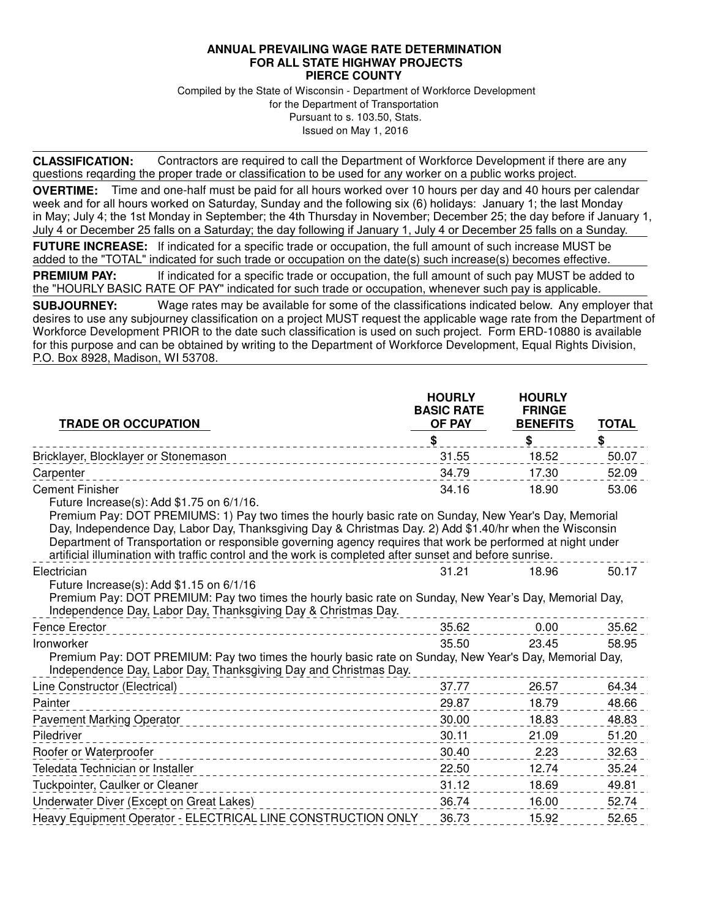## **ANNUAL PREVAILING WAGE RATE DETERMINATION FOR ALL STATE HIGHWAY PROJECTS PIERCE COUNTY**

Compiled by the State of Wisconsin - Department of Workforce Development for the Department of Transportation Pursuant to s. 103.50, Stats. Issued on May 1, 2016

**CLASSIFICATION:** Contractors are required to call the Department of Workforce Development if there are any questions reqarding the proper trade or classification to be used for any worker on a public works project.

**OVERTIME:** Time and one-half must be paid for all hours worked over 10 hours per day and 40 hours per calendar week and for all hours worked on Saturday, Sunday and the following six (6) holidays: January 1; the last Monday in May; July 4; the 1st Monday in September; the 4th Thursday in November; December 25; the day before if January 1, July 4 or December 25 falls on a Saturday; the day following if January 1, July 4 or December 25 falls on a Sunday.

**FUTURE INCREASE:** If indicated for a specific trade or occupation, the full amount of such increase MUST be added to the "TOTAL" indicated for such trade or occupation on the date(s) such increase(s) becomes effective.

**PREMIUM PAY:** If indicated for a specific trade or occupation, the full amount of such pay MUST be added to the "HOURLY BASIC RATE OF PAY" indicated for such trade or occupation, whenever such pay is applicable.

**SUBJOURNEY:** Wage rates may be available for some of the classifications indicated below. Any employer that desires to use any subjourney classification on a project MUST request the applicable wage rate from the Department of Workforce Development PRIOR to the date such classification is used on such project. Form ERD-10880 is available for this purpose and can be obtained by writing to the Department of Workforce Development, Equal Rights Division, P.O. Box 8928, Madison, WI 53708.

| <b>TRADE OR OCCUPATION</b>                                                                                                                                                                                                                                                                                                                                                                                                                                                              | <b>HOURLY</b><br><b>BASIC RATE</b><br><b>OF PAY</b> | <b>HOURLY</b><br><b>FRINGE</b><br><b>BENEFITS</b> | <b>TOTAL</b> |  |
|-----------------------------------------------------------------------------------------------------------------------------------------------------------------------------------------------------------------------------------------------------------------------------------------------------------------------------------------------------------------------------------------------------------------------------------------------------------------------------------------|-----------------------------------------------------|---------------------------------------------------|--------------|--|
|                                                                                                                                                                                                                                                                                                                                                                                                                                                                                         | \$                                                  | \$                                                | \$           |  |
| Bricklayer, Blocklayer or Stonemason                                                                                                                                                                                                                                                                                                                                                                                                                                                    | 31.55                                               | 18.52                                             | 50.07        |  |
| Carpenter                                                                                                                                                                                                                                                                                                                                                                                                                                                                               | 34.79                                               | 17.30                                             | 52.09        |  |
| <b>Cement Finisher</b>                                                                                                                                                                                                                                                                                                                                                                                                                                                                  | 34.16                                               | 18.90                                             | 53.06        |  |
| Future Increase(s): Add \$1.75 on 6/1/16.<br>Premium Pay: DOT PREMIUMS: 1) Pay two times the hourly basic rate on Sunday, New Year's Day, Memorial<br>Day, Independence Day, Labor Day, Thanksgiving Day & Christmas Day. 2) Add \$1.40/hr when the Wisconsin<br>Department of Transportation or responsible governing agency requires that work be performed at night under<br>artificial illumination with traffic control and the work is completed after sunset and before sunrise. |                                                     |                                                   |              |  |
| Electrician                                                                                                                                                                                                                                                                                                                                                                                                                                                                             | 31.21                                               | 18.96                                             | 50.17        |  |
| Future Increase(s): Add \$1.15 on 6/1/16<br>Premium Pay: DOT PREMIUM: Pay two times the hourly basic rate on Sunday, New Year's Day, Memorial Day,<br>Independence Day, Labor Day, Thanksgiving Day & Christmas Day.                                                                                                                                                                                                                                                                    |                                                     |                                                   |              |  |
| <b>Fence Erector</b>                                                                                                                                                                                                                                                                                                                                                                                                                                                                    | 35.62                                               | 0.00                                              | 35.62        |  |
| 35.50<br>58.95<br>Ironworker<br>23.45<br>Premium Pay: DOT PREMIUM: Pay two times the hourly basic rate on Sunday, New Year's Day, Memorial Day,<br>Independence Day, Labor Day, Thanksgiving Day and Christmas Day.                                                                                                                                                                                                                                                                     |                                                     |                                                   |              |  |
| Line Constructor (Electrical)<br>__________________________________                                                                                                                                                                                                                                                                                                                                                                                                                     | 37.77                                               | 26.57                                             | 64.34        |  |
| Painter                                                                                                                                                                                                                                                                                                                                                                                                                                                                                 | 29.87                                               | 18.79                                             | 48.66        |  |
| <b>Pavement Marking Operator</b>                                                                                                                                                                                                                                                                                                                                                                                                                                                        | 30.00                                               | 18.83                                             | 48.83        |  |
| Piledriver                                                                                                                                                                                                                                                                                                                                                                                                                                                                              | 30.11                                               | 21.09                                             | 51.20        |  |
| Roofer or Waterproofer                                                                                                                                                                                                                                                                                                                                                                                                                                                                  | 30.40                                               | 2.23                                              | 32.63        |  |
| Teledata Technician or Installer                                                                                                                                                                                                                                                                                                                                                                                                                                                        | 22.50                                               | 12.74                                             | 35.24        |  |
| Tuckpointer, Caulker or Cleaner                                                                                                                                                                                                                                                                                                                                                                                                                                                         | 31.12                                               | 18.69                                             | 49.81        |  |
| Underwater Diver (Except on Great Lakes)                                                                                                                                                                                                                                                                                                                                                                                                                                                | 36.74                                               | 16.00                                             | 52.74        |  |
| Heavy Equipment Operator - ELECTRICAL LINE CONSTRUCTION ONLY                                                                                                                                                                                                                                                                                                                                                                                                                            | 36.73                                               | 15.92                                             | 52.65        |  |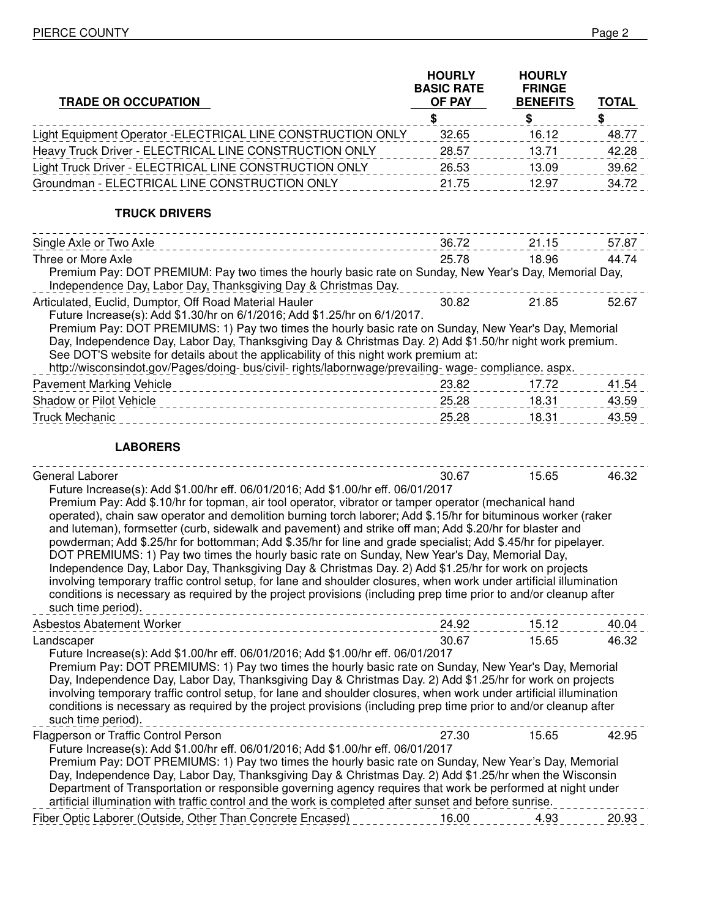| <b>TRADE OR OCCUPATION</b>                                                                                                                                                                                                                                                                                                                                                                                                                                                                                                                                                                                                                                                                                                                                                                                                                                                                                                                                                                                                          | <b>HOURLY</b><br><b>BASIC RATE</b><br>OF PAY | <b>HOURLY</b><br><b>FRINGE</b><br><b>BENEFITS</b> | <b>TOTAL</b> |
|-------------------------------------------------------------------------------------------------------------------------------------------------------------------------------------------------------------------------------------------------------------------------------------------------------------------------------------------------------------------------------------------------------------------------------------------------------------------------------------------------------------------------------------------------------------------------------------------------------------------------------------------------------------------------------------------------------------------------------------------------------------------------------------------------------------------------------------------------------------------------------------------------------------------------------------------------------------------------------------------------------------------------------------|----------------------------------------------|---------------------------------------------------|--------------|
|                                                                                                                                                                                                                                                                                                                                                                                                                                                                                                                                                                                                                                                                                                                                                                                                                                                                                                                                                                                                                                     | \$                                           | \$                                                | \$           |
| Light Equipment Operator - ELECTRICAL LINE CONSTRUCTION ONLY                                                                                                                                                                                                                                                                                                                                                                                                                                                                                                                                                                                                                                                                                                                                                                                                                                                                                                                                                                        | 32.65                                        | 16.12                                             | 48.77        |
| Heavy Truck Driver - ELECTRICAL LINE CONSTRUCTION ONLY                                                                                                                                                                                                                                                                                                                                                                                                                                                                                                                                                                                                                                                                                                                                                                                                                                                                                                                                                                              | 28.57                                        | 13.71                                             | 42.28        |
| Light Truck Driver - ELECTRICAL LINE CONSTRUCTION ONLY                                                                                                                                                                                                                                                                                                                                                                                                                                                                                                                                                                                                                                                                                                                                                                                                                                                                                                                                                                              | 26.53                                        | 13.09                                             | 39.62        |
| Groundman - ELECTRICAL LINE CONSTRUCTION ONLY                                                                                                                                                                                                                                                                                                                                                                                                                                                                                                                                                                                                                                                                                                                                                                                                                                                                                                                                                                                       | 21.75                                        | 12.97                                             | 34.72        |
| <b>TRUCK DRIVERS</b><br>--------------------------                                                                                                                                                                                                                                                                                                                                                                                                                                                                                                                                                                                                                                                                                                                                                                                                                                                                                                                                                                                  |                                              |                                                   |              |
| Single Axle or Two Axle<br>_______________________________                                                                                                                                                                                                                                                                                                                                                                                                                                                                                                                                                                                                                                                                                                                                                                                                                                                                                                                                                                          | 36.72                                        | 21.15                                             | 57.87        |
| Three or More Axle                                                                                                                                                                                                                                                                                                                                                                                                                                                                                                                                                                                                                                                                                                                                                                                                                                                                                                                                                                                                                  | 25.78                                        | 18.96                                             | 44.74        |
| Premium Pay: DOT PREMIUM: Pay two times the hourly basic rate on Sunday, New Year's Day, Memorial Day,<br>Independence Day, Labor Day, Thanksgiving Day & Christmas Day.                                                                                                                                                                                                                                                                                                                                                                                                                                                                                                                                                                                                                                                                                                                                                                                                                                                            |                                              |                                                   |              |
| Articulated, Euclid, Dumptor, Off Road Material Hauler<br>Future Increase(s): Add \$1.30/hr on 6/1/2016; Add \$1.25/hr on 6/1/2017.                                                                                                                                                                                                                                                                                                                                                                                                                                                                                                                                                                                                                                                                                                                                                                                                                                                                                                 | 30.82                                        | 21.85                                             | 52.67        |
| Premium Pay: DOT PREMIUMS: 1) Pay two times the hourly basic rate on Sunday, New Year's Day, Memorial<br>Day, Independence Day, Labor Day, Thanksgiving Day & Christmas Day. 2) Add \$1.50/hr night work premium.<br>See DOT'S website for details about the applicability of this night work premium at:<br>http://wisconsindot.gov/Pages/doing-bus/civil-rights/labornwage/prevailing-wage-compliance.aspx.                                                                                                                                                                                                                                                                                                                                                                                                                                                                                                                                                                                                                       |                                              |                                                   |              |
| <b>Pavement Marking Vehicle</b>                                                                                                                                                                                                                                                                                                                                                                                                                                                                                                                                                                                                                                                                                                                                                                                                                                                                                                                                                                                                     | 23.82                                        | 17.72                                             | 41.54        |
| Shadow or Pilot Vehicle                                                                                                                                                                                                                                                                                                                                                                                                                                                                                                                                                                                                                                                                                                                                                                                                                                                                                                                                                                                                             | 25.28                                        | 18.31                                             | 43.59        |
| <b>Truck Mechanic</b><br>__________________________________                                                                                                                                                                                                                                                                                                                                                                                                                                                                                                                                                                                                                                                                                                                                                                                                                                                                                                                                                                         | 25.28                                        | 18.31                                             | 43.59        |
| <b>LABORERS</b>                                                                                                                                                                                                                                                                                                                                                                                                                                                                                                                                                                                                                                                                                                                                                                                                                                                                                                                                                                                                                     |                                              |                                                   |              |
| General Laborer<br>Future Increase(s): Add \$1.00/hr eff. 06/01/2016; Add \$1.00/hr eff. 06/01/2017<br>Premium Pay: Add \$.10/hr for topman, air tool operator, vibrator or tamper operator (mechanical hand<br>operated), chain saw operator and demolition burning torch laborer; Add \$.15/hr for bituminous worker (raker<br>and luteman), formsetter (curb, sidewalk and pavement) and strike off man; Add \$.20/hr for blaster and<br>powderman; Add \$.25/hr for bottomman; Add \$.35/hr for line and grade specialist; Add \$.45/hr for pipelayer.<br>DOT PREMIUMS: 1) Pay two times the hourly basic rate on Sunday, New Year's Day, Memorial Day,<br>Independence Day, Labor Day, Thanksgiving Day & Christmas Day. 2) Add \$1.25/hr for work on projects<br>involving temporary traffic control setup, for lane and shoulder closures, when work under artificial illumination<br>conditions is necessary as required by the project provisions (including prep time prior to and/or cleanup after<br>such time period). | 30.67                                        | 15.65                                             | 46.32        |
| Asbestos Abatement Worker<br>_________________________________                                                                                                                                                                                                                                                                                                                                                                                                                                                                                                                                                                                                                                                                                                                                                                                                                                                                                                                                                                      | 24.92                                        | 15.12                                             | 40.04        |
| Landscaper<br>Future Increase(s): Add \$1.00/hr eff. 06/01/2016; Add \$1.00/hr eff. 06/01/2017                                                                                                                                                                                                                                                                                                                                                                                                                                                                                                                                                                                                                                                                                                                                                                                                                                                                                                                                      | 30.67                                        | 15.65                                             | 46.32        |
| Premium Pay: DOT PREMIUMS: 1) Pay two times the hourly basic rate on Sunday, New Year's Day, Memorial<br>Day, Independence Day, Labor Day, Thanksgiving Day & Christmas Day. 2) Add \$1.25/hr for work on projects<br>involving temporary traffic control setup, for lane and shoulder closures, when work under artificial illumination<br>conditions is necessary as required by the project provisions (including prep time prior to and/or cleanup after<br>such time period).<br>__________________________                                                                                                                                                                                                                                                                                                                                                                                                                                                                                                                    |                                              |                                                   |              |
| Flagperson or Traffic Control Person<br>Future Increase(s): Add \$1.00/hr eff. 06/01/2016; Add \$1.00/hr eff. 06/01/2017<br>Premium Pay: DOT PREMIUMS: 1) Pay two times the hourly basic rate on Sunday, New Year's Day, Memorial<br>Day, Independence Day, Labor Day, Thanksgiving Day & Christmas Day. 2) Add \$1.25/hr when the Wisconsin                                                                                                                                                                                                                                                                                                                                                                                                                                                                                                                                                                                                                                                                                        | 27.30                                        | 15.65                                             | 42.95        |
| Department of Transportation or responsible governing agency requires that work be performed at night under<br>artificial illumination with traffic control and the work is completed after sunset and before sunrise.                                                                                                                                                                                                                                                                                                                                                                                                                                                                                                                                                                                                                                                                                                                                                                                                              |                                              |                                                   |              |
| Fiber Optic Laborer (Outside, Other Than Concrete Encased)                                                                                                                                                                                                                                                                                                                                                                                                                                                                                                                                                                                                                                                                                                                                                                                                                                                                                                                                                                          | 16.00                                        | 4.93                                              | 20.93        |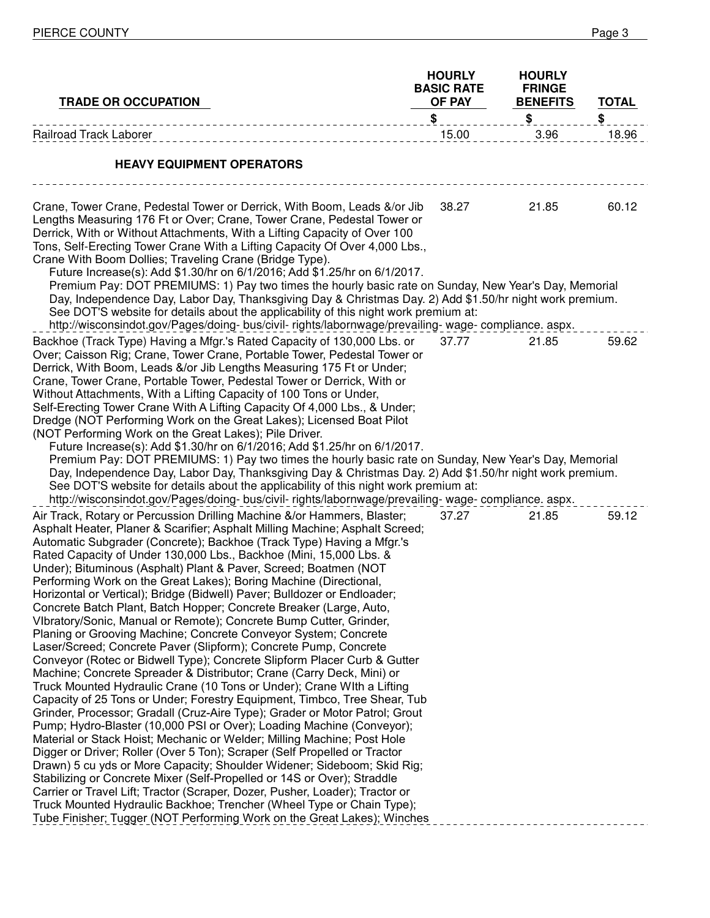| <b>TRADE OR OCCUPATION</b>                                                                                                                                                                                                                                                                                                                                                                                                                                                                                                                                                                                                                                                                                                                                                                                                                                                                                                                                                                                                                                                                                                                                                                                                                                                                                                                                                                                                                                                                                                                                                                                                                                                                                                                                                                                                           | <b>HOURLY</b><br><b>BASIC RATE</b><br>OF PAY | <b>HOURLY</b><br><b>FRINGE</b><br><b>BENEFITS</b> | <b>TOTAL</b> |
|--------------------------------------------------------------------------------------------------------------------------------------------------------------------------------------------------------------------------------------------------------------------------------------------------------------------------------------------------------------------------------------------------------------------------------------------------------------------------------------------------------------------------------------------------------------------------------------------------------------------------------------------------------------------------------------------------------------------------------------------------------------------------------------------------------------------------------------------------------------------------------------------------------------------------------------------------------------------------------------------------------------------------------------------------------------------------------------------------------------------------------------------------------------------------------------------------------------------------------------------------------------------------------------------------------------------------------------------------------------------------------------------------------------------------------------------------------------------------------------------------------------------------------------------------------------------------------------------------------------------------------------------------------------------------------------------------------------------------------------------------------------------------------------------------------------------------------------|----------------------------------------------|---------------------------------------------------|--------------|
| ____________________________                                                                                                                                                                                                                                                                                                                                                                                                                                                                                                                                                                                                                                                                                                                                                                                                                                                                                                                                                                                                                                                                                                                                                                                                                                                                                                                                                                                                                                                                                                                                                                                                                                                                                                                                                                                                         | \$                                           | \$                                                | \$           |
| <b>Railroad Track Laborer</b>                                                                                                                                                                                                                                                                                                                                                                                                                                                                                                                                                                                                                                                                                                                                                                                                                                                                                                                                                                                                                                                                                                                                                                                                                                                                                                                                                                                                                                                                                                                                                                                                                                                                                                                                                                                                        | 15.00                                        | 3.96                                              | 18.96        |
| <b>HEAVY EQUIPMENT OPERATORS</b>                                                                                                                                                                                                                                                                                                                                                                                                                                                                                                                                                                                                                                                                                                                                                                                                                                                                                                                                                                                                                                                                                                                                                                                                                                                                                                                                                                                                                                                                                                                                                                                                                                                                                                                                                                                                     |                                              |                                                   |              |
| Crane, Tower Crane, Pedestal Tower or Derrick, With Boom, Leads &/or Jib<br>Lengths Measuring 176 Ft or Over; Crane, Tower Crane, Pedestal Tower or<br>Derrick, With or Without Attachments, With a Lifting Capacity of Over 100<br>Tons, Self-Erecting Tower Crane With a Lifting Capacity Of Over 4,000 Lbs.,<br>Crane With Boom Dollies; Traveling Crane (Bridge Type).<br>Future Increase(s): Add \$1.30/hr on 6/1/2016; Add \$1.25/hr on 6/1/2017.                                                                                                                                                                                                                                                                                                                                                                                                                                                                                                                                                                                                                                                                                                                                                                                                                                                                                                                                                                                                                                                                                                                                                                                                                                                                                                                                                                              | 38.27                                        | 21.85                                             | 60.12        |
| Premium Pay: DOT PREMIUMS: 1) Pay two times the hourly basic rate on Sunday, New Year's Day, Memorial<br>Day, Independence Day, Labor Day, Thanksgiving Day & Christmas Day. 2) Add \$1.50/hr night work premium.<br>See DOT'S website for details about the applicability of this night work premium at:                                                                                                                                                                                                                                                                                                                                                                                                                                                                                                                                                                                                                                                                                                                                                                                                                                                                                                                                                                                                                                                                                                                                                                                                                                                                                                                                                                                                                                                                                                                            |                                              |                                                   |              |
| http://wisconsindot.gov/Pages/doing-bus/civil-rights/labornwage/prevailing-wage-compliance.aspx.                                                                                                                                                                                                                                                                                                                                                                                                                                                                                                                                                                                                                                                                                                                                                                                                                                                                                                                                                                                                                                                                                                                                                                                                                                                                                                                                                                                                                                                                                                                                                                                                                                                                                                                                     |                                              |                                                   |              |
| Backhoe (Track Type) Having a Mfgr.'s Rated Capacity of 130,000 Lbs. or<br>Over; Caisson Rig; Crane, Tower Crane, Portable Tower, Pedestal Tower or<br>Derrick, With Boom, Leads &/or Jib Lengths Measuring 175 Ft or Under;<br>Crane, Tower Crane, Portable Tower, Pedestal Tower or Derrick, With or<br>Without Attachments, With a Lifting Capacity of 100 Tons or Under,<br>Self-Erecting Tower Crane With A Lifting Capacity Of 4,000 Lbs., & Under;<br>Dredge (NOT Performing Work on the Great Lakes); Licensed Boat Pilot<br>(NOT Performing Work on the Great Lakes); Pile Driver.<br>Future Increase(s): Add \$1.30/hr on 6/1/2016; Add \$1.25/hr on 6/1/2017.                                                                                                                                                                                                                                                                                                                                                                                                                                                                                                                                                                                                                                                                                                                                                                                                                                                                                                                                                                                                                                                                                                                                                             | 37.77                                        | 21.85                                             | 59.62        |
| Premium Pay: DOT PREMIUMS: 1) Pay two times the hourly basic rate on Sunday, New Year's Day, Memorial<br>Day, Independence Day, Labor Day, Thanksgiving Day & Christmas Day. 2) Add \$1.50/hr night work premium.<br>See DOT'S website for details about the applicability of this night work premium at:<br>http://wisconsindot.gov/Pages/doing-bus/civil-rights/labornwage/prevailing-wage-compliance.aspx.                                                                                                                                                                                                                                                                                                                                                                                                                                                                                                                                                                                                                                                                                                                                                                                                                                                                                                                                                                                                                                                                                                                                                                                                                                                                                                                                                                                                                        |                                              |                                                   |              |
| Air Track, Rotary or Percussion Drilling Machine &/or Hammers, Blaster;<br>Asphalt Heater, Planer & Scarifier; Asphalt Milling Machine; Asphalt Screed;<br>Automatic Subgrader (Concrete); Backhoe (Track Type) Having a Mfgr.'s<br>Rated Capacity of Under 130,000 Lbs., Backhoe (Mini, 15,000 Lbs. &<br>Under); Bituminous (Asphalt) Plant & Paver, Screed; Boatmen (NOT<br>Performing Work on the Great Lakes); Boring Machine (Directional,<br>Horizontal or Vertical); Bridge (Bidwell) Paver; Bulldozer or Endloader;<br>Concrete Batch Plant, Batch Hopper; Concrete Breaker (Large, Auto,<br>VIbratory/Sonic, Manual or Remote); Concrete Bump Cutter, Grinder,<br>Planing or Grooving Machine; Concrete Conveyor System; Concrete<br>Laser/Screed; Concrete Paver (Slipform); Concrete Pump, Concrete<br>Conveyor (Rotec or Bidwell Type); Concrete Slipform Placer Curb & Gutter<br>Machine; Concrete Spreader & Distributor; Crane (Carry Deck, Mini) or<br>Truck Mounted Hydraulic Crane (10 Tons or Under); Crane With a Lifting<br>Capacity of 25 Tons or Under; Forestry Equipment, Timbco, Tree Shear, Tub<br>Grinder, Processor; Gradall (Cruz-Aire Type); Grader or Motor Patrol; Grout<br>Pump; Hydro-Blaster (10,000 PSI or Over); Loading Machine (Conveyor);<br>Material or Stack Hoist; Mechanic or Welder; Milling Machine; Post Hole<br>Digger or Driver; Roller (Over 5 Ton); Scraper (Self Propelled or Tractor<br>Drawn) 5 cu yds or More Capacity; Shoulder Widener; Sideboom; Skid Rig;<br>Stabilizing or Concrete Mixer (Self-Propelled or 14S or Over); Straddle<br>Carrier or Travel Lift; Tractor (Scraper, Dozer, Pusher, Loader); Tractor or<br>Truck Mounted Hydraulic Backhoe; Trencher (Wheel Type or Chain Type);<br>Tube Finisher; Tugger (NOT Performing Work on the Great Lakes); Winches | 37.27                                        | 21.85                                             | 59.12        |